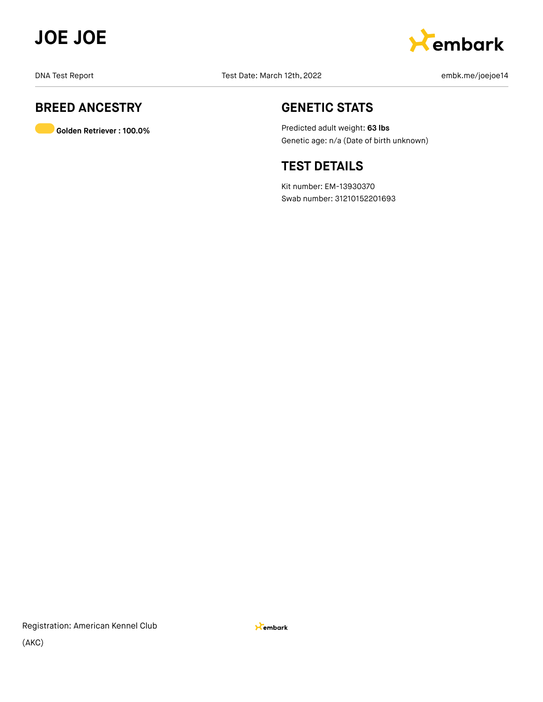



# **BREED ANCESTRY**

**Golden Retriever : 100.0%**

## **GENETIC STATS**

Predicted adult weight: **63 lbs** Genetic age: n/a (Date of birth unknown)

## **TEST DETAILS**

Kit number: EM-13930370 Swab number: 31210152201693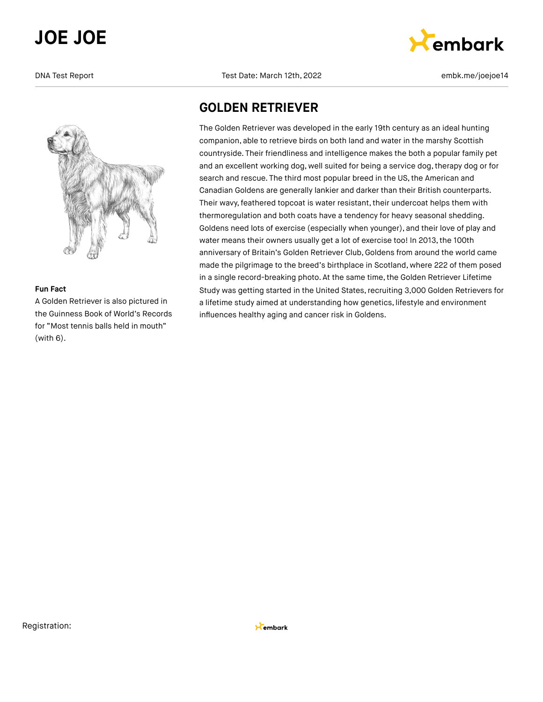

## **Fun Fact**

A Golden Retriever is also pictured in the Guinness Book of World's Records for "Most tennis balls held in mouth" (with 6).

DNA Test Report Test Date: March 12th, 2022 embk.me/joejoe14



## **GOLDEN RETRIEVER**

The Golden Retriever was developed in the early 19th century as an ideal hunting companion, able to retrieve birds on both land and water in the marshy Scottish countryside. Their friendliness and intelligence makes the both a popular family pet and an excellent working dog, well suited for being a service dog, therapy dog or for search and rescue. The third most popular breed in the US, the American and Canadian Goldens are generally lankier and darker than their British counterparts. Their wavy, feathered topcoat is water resistant, their undercoat helps them with thermoregulation and both coats have a tendency for heavy seasonal shedding. Goldens need lots of exercise (especially when younger), and their love of play and water means their owners usually get a lot of exercise too! In 2013, the 100th anniversary of Britain's Golden Retriever Club, Goldens from around the world came made the pilgrimage to the breed's birthplace in Scotland, where 222 of them posed in a single record-breaking photo. At the same time, the Golden Retriever Lifetime Study was getting started in the United States, recruiting 3,000 Golden Retrievers for a lifetime study aimed at understanding how genetics, lifestyle and environment influences healthy aging and cancer risk in Goldens.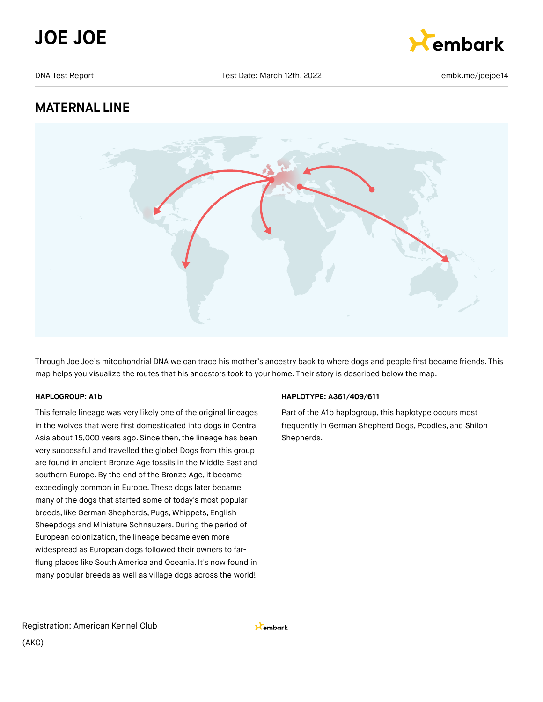



# **MATERNAL LINE**



Through Joe Joe's mitochondrial DNA we can trace his mother's ancestry back to where dogs and people first became friends. This map helps you visualize the routes that his ancestors took to your home. Their story is described below the map.

### **HAPLOGROUP: A1b**

This female lineage was very likely one of the original lineages in the wolves that were first domesticated into dogs in Central Asia about 15,000 years ago. Since then, the lineage has been very successful and travelled the globe! Dogs from this group are found in ancient Bronze Age fossils in the Middle East and southern Europe.By the end of the Bronze Age, it became exceedingly common in Europe. These dogs later became many of the dogs that started some of today's most popular breeds, like German Shepherds, Pugs, Whippets, English Sheepdogs and Miniature Schnauzers. During the period of European colonization, the lineage became even more widespread as European dogs followed their owners to farflung places like South America and Oceania. It's now found in many popular breeds as well as village dogs across the world!

### **HAPLOTYPE: A361/409/611**

Part of the A1b haplogroup, this haplotype occurs most frequently in German Shepherd Dogs, Poodles, and Shiloh Shepherds.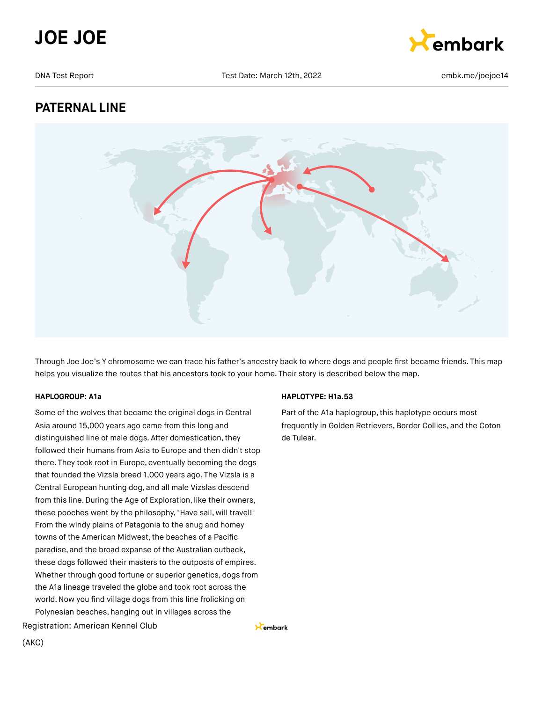



# **PATERNAL LINE**



Through Joe Joe's Y chromosome we can trace his father's ancestry back to where dogs and people first became friends. This map helps you visualize the routes that his ancestors took to your home. Their story is described below the map.

### **HAPLOGROUP: A1a**

Some of the wolves that became the original dogs in Central Asia around 15,000 years ago came from this long and distinguished line of male dogs. After domestication, they followed their humans from Asia to Europe and then didn't stop there. They took root in Europe, eventually becoming the dogs that founded the Vizsla breed 1,000 years ago. The Vizsla is a Central European hunting dog, and all male Vizslas descend from this line. During the Age of Exploration, like their owners, these pooches went by the philosophy, "Have sail, will travel!" From the windy plains of Patagonia to the snug and homey towns of the American Midwest, the beaches of a Pacific paradise, and the broad expanse of the Australian outback, these dogs followed their masters to the outposts of empires. Whether through good fortune or superior genetics, dogs from the A1a lineage traveled the globe and took root across the world.Now you find village dogs from this line frolicking on Polynesian beaches, hanging out in villages across the

# **HAPLOTYPE: H1a.53**

Part of the A1a haplogroup, this haplotype occurs most frequently in Golden Retrievers, Border Collies, and the Coton de Tulear.

Registration: American Kennel Club

Kembark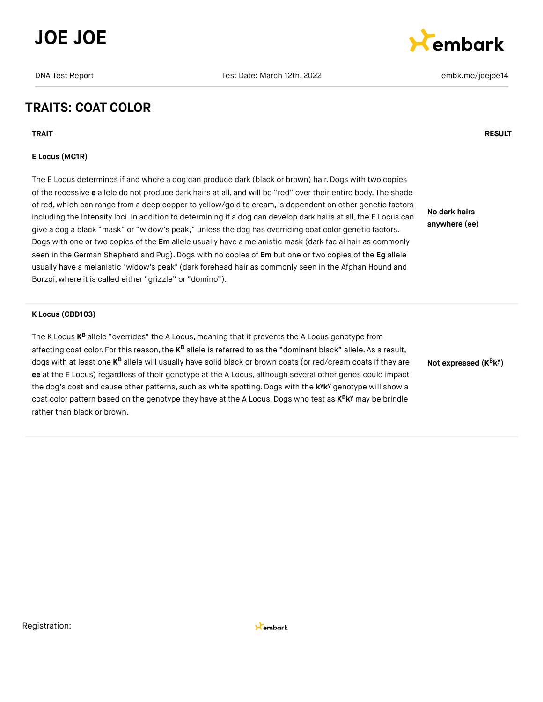



## **TRAITS: COAT COLOR**

**TRAIT RESULT**

### **E Locus (MC1R)**

The E Locus determines if and where a dog can produce dark (black or brown) hair. Dogs with two copies of the recessive **e** allele do not produce dark hairs at all, and will be "red" over their entire body. The shade of red, which can range from a deep copper to yellow/gold to cream, is dependent on other genetic factors including the Intensity loci. In addition to determining if a dog can develop dark hairs at all, the E Locus can give a dog a black "mask" or "widow's peak," unless the dog has overriding coat color genetic factors. Dogs with one or two copies of the **Em** allele usually have a melanistic mask (dark facial hair as commonly seen in the German Shepherd and Pug).Dogs with no copies of **Em** but one or two copies of the **Eg** allele usually have a melanistic "widow's peak" (dark forehead hair as commonly seen in the Afghan Hound and Borzoi, where it is called either "grizzle" or "domino").

**No dark hairs anywhere (ee)**

#### **K Locus (CBD103)**

The K Locus **K<sup>B</sup>** allele "overrides" the A Locus, meaning that it prevents the A Locus genotype from affecting coat color. For this reason, the **K<sup>B</sup> allele is referred to as the "dominant** black" allele. As a result, dogs with at least one **K<sup>B</sup> allele will usually have solid black** or brown coats (or red/cream coats if they are **ee** at the E Locus) regardless of their genotype at the A Locus, although several other genes could impact the dog's coat and cause other patterns, such as white spotting. Dogs with the k<sup>y</sup>k<sup>y</sup> genotype will show a coat color pattern based on the genotype they have at the A Locus. Dogs who test as  $K^B K^y$  may be brindle rather than black or brown.

**Not expressed** (K<sup>B</sup>k<sup>y</sup>)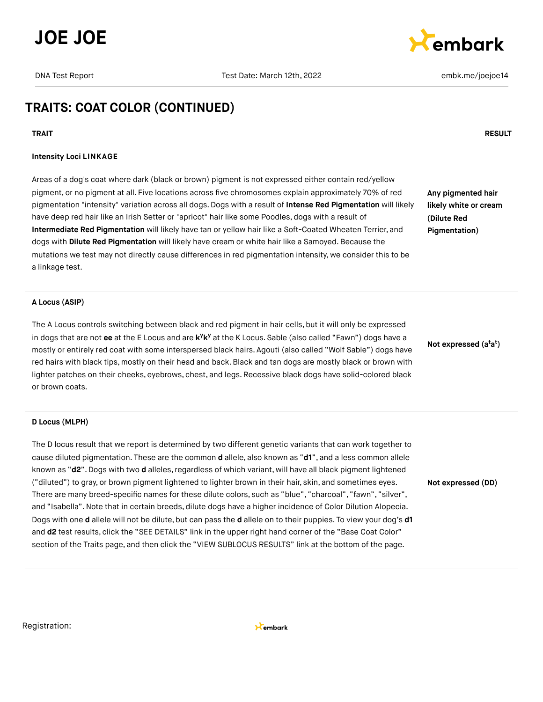





## **TRAITS: COAT COLOR (CONTINUED)**

#### **TRAIT RESULT**

#### **Intensity Loci LINKAGE**

Areas of a dog's coat where dark (black or brown) pigment is not expressed either contain red/yellow pigment, or no pigment at all. Five locations across five chromosomes explain approximately 70% of red pigmentation "intensity" variation across all dogs. Dogs with a result of **Intense Red Pigmentation** will likely have deep red hair like an Irish Setter or "apricot" hair like some Poodles, dogs with a result of **Intermediate Red Pigmentation** will likely have tan or yellow hair like a Soft-Coated Wheaten Terrier, and dogs with **Dilute Red Pigmentation** will likely have cream or white hair like a Samoyed. Because the mutations we test may not directly cause differences in red pigmentation intensity, we consider this to be a linkage test.

**Any pigmented hair likely white or cream (Dilute Red Pigmentation)**

#### **A Locus (ASIP)**

The A Locus controls switching between black and red pigment in hair cells, but it will only be expressed in dogs that are not ee at the E Locus and are k<sup>y</sup>k<sup>y</sup> at the K Locus. Sable (also called "Fawn") dogs have a mostly or entirely red coat with some interspersed black hairs. Agouti (also called "Wolf Sable") dogs have red hairs with black tips, mostly on their head and back.Black and tan dogs are mostly black or brown with lighter patches on their cheeks, eyebrows, chest, and legs. Recessive black dogs have solid-colored black or brown coats.

#### **D Locus (MLPH)**

The D locus result that we report is determined by two different genetic variants that can work together to cause diluted pigmentation. These are the common **d** allele, also known as "**d1**", and a less common allele known as "d2". Dogs with two d alleles, regardless of which variant, will have all black pigment lightened ("diluted") to gray, or brown pigment lightened to lighter brown in their hair, skin, and sometimes eyes. There are many breed-specific names for these dilute colors, such as "blue", "charcoal", "fawn", "silver", and "Isabella".Note that in certain breeds, dilute dogs have a higher incidence of Color Dilution Alopecia. Dogs with one **d** allele will not be dilute, but can pass the **d** allele on to their puppies. To view your dog's **d1** and **d2** test results, click the "SEE DETAILS" link in the upper right hand corner of the "Base Coat Color" section of the Traits page, and then click the "VIEW SUBLOCUS RESULTS" link at the bottom of the page.

**Not expressed (a a ) t t**

**Not expressed (DD)**

Registration:

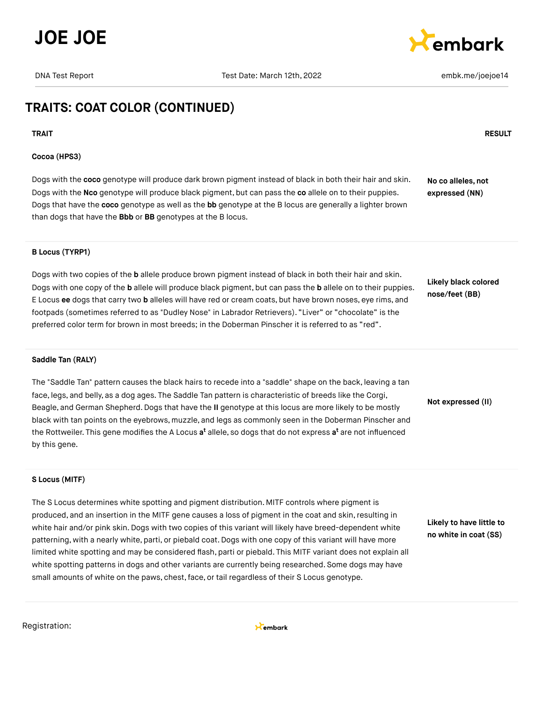



# **TRAITS: COAT COLOR (CONTINUED)**

**TRAIT RESULT**

### **Cocoa (HPS3)**

Dogs with the **coco** genotype will produce dark brown pigment instead of black in both their hair and skin. Dogs with the **Nco** genotype will produce black pigment, but can pass the **co** allele on to their puppies. Dogs that have the **coco** genotype as well as the **bb** genotype at the B locus are generally a lighter brown than dogs that have the **Bbb** or **BB** genotypes at the B locus. **No co alleles, not expressed (NN)**

### **B Locus (TYRP1)**

Dogs with two copies of the **b** allele produce brown pigment instead of black in both their hair and skin. Dogs with one copy of the **b** allele will produce black pigment, but can pass the **b** allele on to their puppies. E Locus **ee** dogs that carry two **b** alleles will have red or cream coats, but have brown noses, eye rims, and footpads (sometimes referred to as "Dudley Nose" in Labrador Retrievers). "Liver" or "chocolate" is the preferred color term for brown in most breeds; in the Doberman Pinscher it is referred to as "red".

**Likely black colored nose/feet (BB)**

#### **Saddle Tan (RALY)**

The "Saddle Tan" pattern causes the black hairs to recede into a "saddle" shape on the back, leaving a tan face, legs, and belly, as a dog ages. The Saddle Tan pattern is characteristic of breeds like the Corgi, Beagle, and German Shepherd.Dogs that have the **II** genotype at this locus are more likely to be mostly black with tan points on the eyebrows, muzzle, and legs as commonly seen in the Doberman Pinscher and the Rottweiler. This gene modifies the A Locus **a<sup>t</sup>** allele, so dogs that do not express **a<sup>t</sup>** are not influenced by this gene.

**Not expressed (II)**

#### **S Locus (MITF)**

The S Locus determines white spotting and pigment distribution. MITF controls where pigment is produced, and an insertion in the MITF gene causes a loss of pigment in the coat and skin, resulting in white hair and/or pink skin. Dogs with two copies of this variant will likely have breed-dependent white patterning, with a nearly white, parti, or piebald coat. Dogs with one copy of this variant will have more limited white spotting and may be considered flash, parti or piebald. This MITF variant does not explain all white spotting patterns in dogs and other variants are currently being researched. Some dogs may have small amounts of white on the paws, chest, face, or tail regardless of their S Locus genotype.

**Likely to have little to no white in coat (SS)**

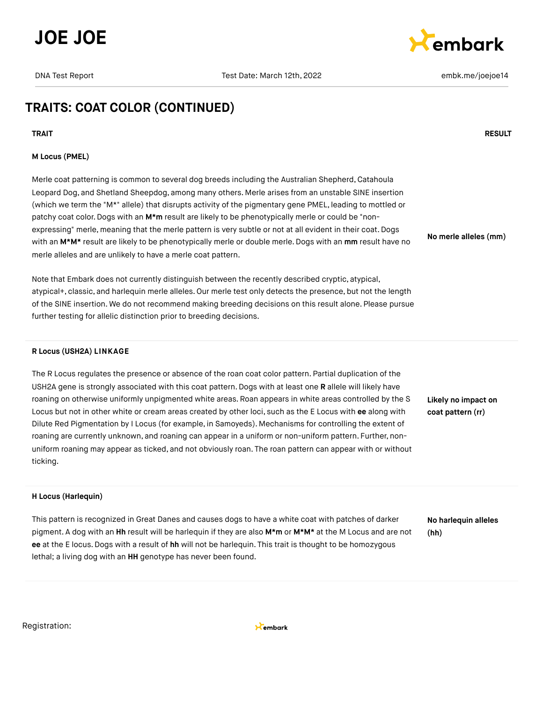



## **TRAITS: COAT COLOR (CONTINUED)**

**TRAIT RESULT**

### **M Locus (PMEL)**

Merle coat patterning is common to several dog breeds including the Australian Shepherd, Catahoula Leopard Dog, and Shetland Sheepdog, among many others. Merle arises from an unstable SINE insertion (which we term the "M\*" allele) that disrupts activity of the pigmentary gene PMEL, leading to mottled or patchy coat color. Dogs with an M<sup>\*</sup>m result are likely to be phenotypically merle or could be "nonexpressing" merle, meaning that the merle pattern is very subtle or not at all evident in their coat. Dogs with an **M\*M\*** result are likely to be phenotypically merle or double merle. Dogs with an **mm** result have no merle alleles and are unlikely to have a merle coat pattern.

Note that Embark does not currently distinguish between the recently described cryptic, atypical, atypical+, classic, and harlequin merle alleles. Our merle test only detects the presence, but not the length of the SINE insertion. We do not recommend making breeding decisions on this result alone. Please pursue further testing for allelic distinction prior to breeding decisions.

#### **R Locus (USH2A) LINKAGE**

The R Locus regulates the presence or absence of the roan coat color pattern. Partial duplication of the USH2A gene is strongly associated with this coat pattern. Dogs with at least one **R** allele will likely have roaning on otherwise uniformly unpigmented white areas. Roan appears in white areas controlled by the S Locus but not in other white or cream areas created by other loci, such as the E Locus with **ee** along with Dilute Red Pigmentation by I Locus (for example, in Samoyeds). Mechanisms for controlling the extent of roaning are currently unknown, and roaning can appear in a uniform or non-uniform pattern. Further, nonuniform roaning may appear as ticked, and not obviously roan. The roan pattern can appear with or without ticking.

**Likely no impact on coat pattern (rr)**

**No merle alleles (mm)**

### **H Locus (Harlequin)**

This pattern is recognized in Great Danes and causes dogs to have a white coat with patches of darker pigment. A dog with an **Hh** result will be harlequin if they are also **M\*m** or **M\*M\*** at the M Locus and are not **ee** at the E locus.Dogs with a result of **hh** will not be harlequin. This trait is thought to be homozygous lethal; a living dog with an **HH** genotype has never been found.

**No harlequin alleles (hh)**

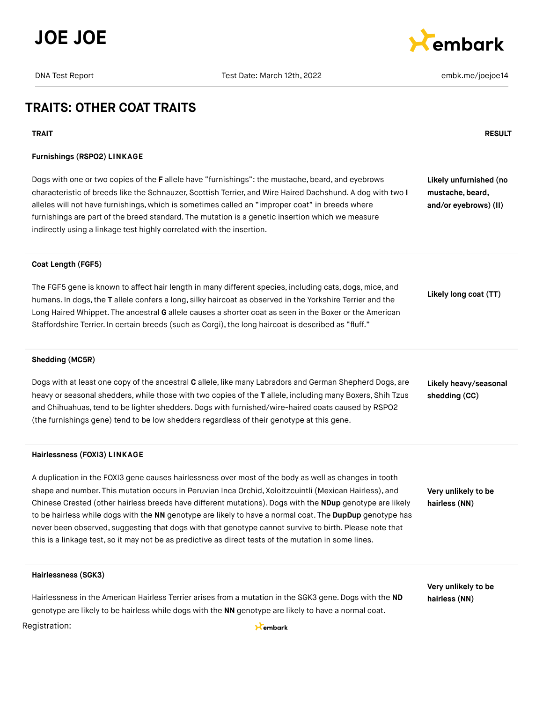



## **TRAITS: OTHER COAT TRAITS**

#### **TRAIT RESULT**

#### **Furnishings (RSPO2) LINKAGE**

Dogs with one or two copies of the **F** allele have "furnishings": the mustache, beard, and eyebrows characteristic of breeds like the Schnauzer, Scottish Terrier, and Wire Haired Dachshund. A dog with two **I** alleles will not have furnishings, which is sometimes called an "improper coat" in breeds where furnishings are part of the breed standard. The mutation is a genetic insertion which we measure indirectly using a linkage test highly correlated with the insertion.

**Likely unfurnished (no mustache, beard,**

**and/or eyebrows) (II)**

# **Coat Length (FGF5)**

The FGF5 gene is known to affect hair length in many different species, including cats, dogs, mice, and humans. In dogs,the **T** allele confers a long, silky haircoat as observed in the Yorkshire Terrier and the Long Haired Whippet. The ancestral **G** allele causes a shorter coat as seen in the Boxer or the American Staffordshire Terrier. In certain breeds (such as Corgi), the long haircoat is described as "fluff."

**Likely long coat (TT)**

#### **Shedding (MC5R)**

Dogs with at least one copy of the ancestral **C** allele, like many Labradors and German Shepherd Dogs, are heavy or seasonal shedders, while those with two copies of the **T** allele, including many Boxers, Shih Tzus and Chihuahuas,tend to be lighter shedders.Dogs with furnished/wire-haired coats caused by RSPO2 (the furnishings gene) tend to be low shedders regardless of their genotype at this gene.

#### **Hairlessness (FOXI3) LINKAGE**

A duplication in the FOXI3 gene causes hairlessness over most of the body as well as changes in tooth shape and number. This mutation occurs in Peruvian Inca Orchid, Xoloitzcuintli (Mexican Hairless), and Chinese Crested (other hairless breeds have different mutations). Dogs with the **NDup** genotype are likely to be hairless while dogs with the **NN** genotype are likely to have a normal coat. The **DupDup** genotype has never been observed, suggesting that dogs with that genotype cannot survive to birth. Please note that this is a linkage test, so it may not be as predictive as direct tests of the mutation in some lines.

**Likely heavy/seasonal shedding (CC)**

**Very unlikely to be hairless (NN)**

**Very unlikely to be hairless (NN)**

#### **Hairlessness (SGK3)**

Hairlessness in the American Hairless Terrier arises from a mutation in the SGK3 gene. Dogs with the **ND** genotype are likely to be hairless while dogs with the **NN** genotype are likely to have a normal coat.

#### Registration:

Kembark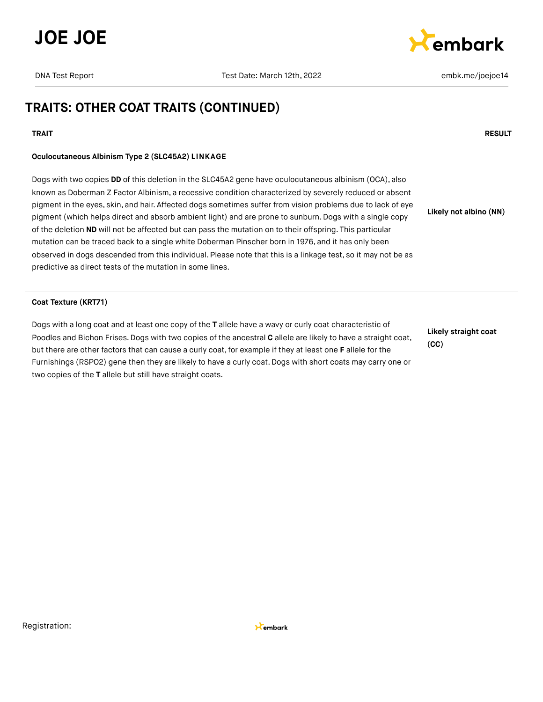



# **TRAITS: OTHER COAT TRAITS (CONTINUED)**

#### **TRAIT RESULT**

### **Oculocutaneous Albinism Type 2 (SLC45A2) LINKAGE**

Dogs with two copies **DD** of this deletion in the SLC45A2 gene have oculocutaneous albinism (OCA), also known as Doberman Z Factor Albinism, a recessive condition characterized by severely reduced or absent pigment in the eyes, skin, and hair. Affected dogs sometimes suffer from vision problems due to lack of eye pigment (which helps direct and absorb ambient light) and are prone to sunburn. Dogs with a single copy of the deletion **ND** will not be affected but can pass the mutation on to their offspring. This particular mutation can be traced back to a single white Doberman Pinscher born in 1976, and it has only been observed in dogs descended from this individual. Please note that this is a linkage test, so it may not be as predictive as direct tests of the mutation in some lines. **Likely not albino (NN)**

#### **Coat Texture (KRT71)**

Dogs with a long coat and at least one copy of the **T** allele have a wavy or curly coat characteristic of Poodles and Bichon Frises. Dogs with two copies of the ancestral **C** allele are likely to have a straight coat, but there are other factors that can cause a curly coat,for example if they at least one **F** allele for the Furnishings (RSPO2) gene then they are likely to have a curly coat. Dogs with short coats may carry one or two copies of the **T** allele but still have straight coats.

**Likely straight coat (CC)**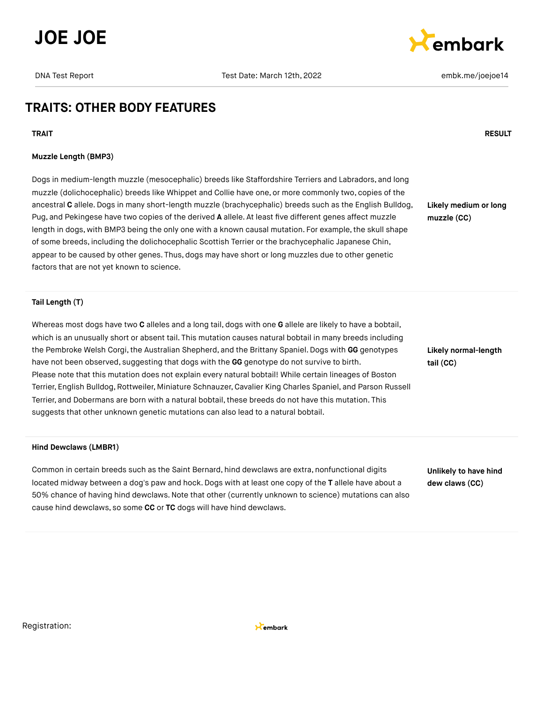



## **TRAITS: OTHER BODY FEATURES**

**TRAIT RESULT**

#### **Muzzle Length (BMP3)**

Dogs in medium-length muzzle (mesocephalic) breeds like Staffordshire Terriers and Labradors, and long muzzle (dolichocephalic) breeds like Whippet and Collie have one, or more commonly two, copies of the ancestral **C** allele.Dogs in many short-length muzzle (brachycephalic) breeds such as the English Bulldog, Pug, and Pekingese have two copies of the derived **A** allele. At least five different genes affect muzzle length in dogs, with BMP3 being the only one with a known causal mutation. For example, the skull shape of some breeds, including the dolichocephalic Scottish Terrier or the brachycephalic Japanese Chin, appear to be caused by other genes. Thus, dogs may have short or long muzzles due to other genetic factors that are not yet known to science.

**Likely medium or long muzzle (CC)**

**Tail Length (T)**

Whereas most dogs have two **C** alleles and a long tail, dogs with one **G** allele are likely to have a bobtail, which is an unusually short or absent tail. This mutation causes natural bobtail in many breeds including the Pembroke Welsh Corgi, the Australian Shepherd, and the Brittany Spaniel. Dogs with GG genotypes have not been observed, suggesting that dogs with the **GG** genotype do not survive to birth. Please note that this mutation does not explain every natural bobtail! While certain lineages of Boston Terrier, English Bulldog,Rottweiler, Miniature Schnauzer, Cavalier King Charles Spaniel, and Parson Russell Terrier, and Dobermans are born with a natural bobtail, these breeds do not have this mutation. This suggests that other unknown genetic mutations can also lead to a natural bobtail.

#### **Hind Dewclaws (LMBR1)**

Common in certain breeds such as the Saint Bernard, hind dewclaws are extra, nonfunctional digits located midway between a dog's paw and hock. Dogs with at least one copy of the **T** allele have about a 50% chance of having hind dewclaws.Note that other (currently unknown to science) mutations can also cause hind dewclaws, so some **CC** or **TC** dogs will have hind dewclaws.

**Likely normal-length tail (CC)**

**Unlikely to have hind dew claws (CC)**

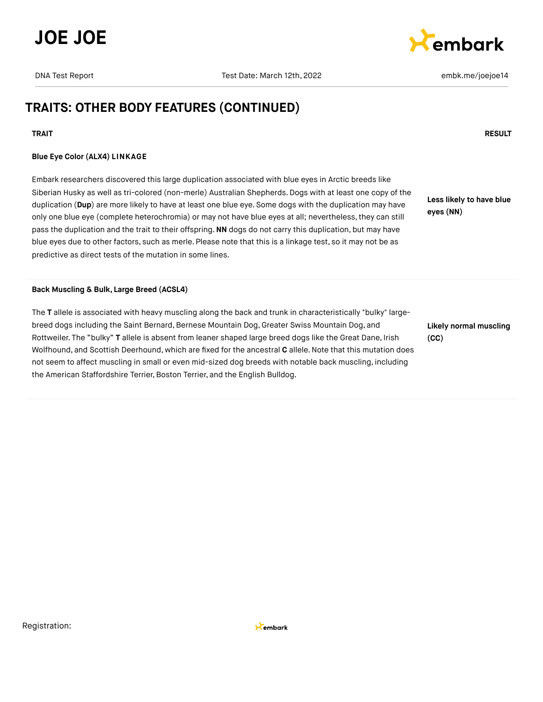



# **TRAITS: OTHER BODY FEATURES (CONTINUED)**

#### **TRAIT RESULT**

### **Blue Eye Color (ALX4) LINKAGE**

Embark researchers discovered this large duplication associated with blue eyes in Arctic breeds like Siberian Husky as well as tri-colored (non-merle) Australian Shepherds. Dogs with at least one copy of the duplication (**Dup**) are more likely to have at least one blue eye. Some dogs with the duplication may have only one blue eye (complete heterochromia) or may not have blue eyes at all; nevertheless,they can still pass the duplication and the trait to their offspring.**NN** dogs do not carry this duplication, but may have blue eyes due to other factors, such as merle. Please note that this is a linkage test, so it may not be as predictive as direct tests of the mutation in some lines.

**Less likely to have blue eyes (NN)**

#### **Back Muscling & Bulk, Large Breed (ACSL4)**

The **T** allele is associated with heavy muscling along the back and trunk in characteristically "bulky" largebreed dogs including the Saint Bernard, Bernese Mountain Dog, Greater Swiss Mountain Dog, and Rottweiler. The "bulky" **T** allele is absent from leaner shaped large breed dogs like the Great Dane, Irish Wolfhound, and Scottish Deerhound, which are fixed for the ancestral **C** allele.Note that this mutation does not seem to affect muscling in small or even mid-sized dog breeds with notable back muscling, including the American Staffordshire Terrier, Boston Terrier, and the English Bulldog.

**Likely normal muscling (CC)**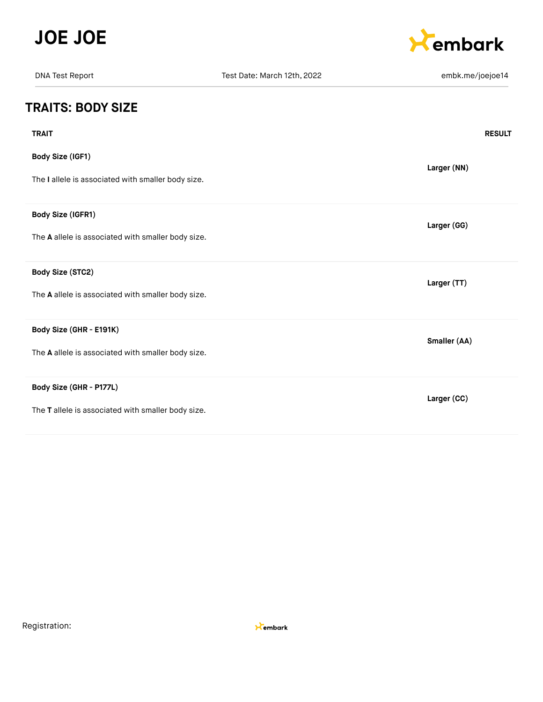



| <b>DNA Test Report</b>                             | Test Date: March 12th, 2022 | embk.me/joejoe14 |
|----------------------------------------------------|-----------------------------|------------------|
| <b>TRAITS: BODY SIZE</b>                           |                             |                  |
| <b>TRAIT</b>                                       |                             | <b>RESULT</b>    |
| <b>Body Size (IGF1)</b>                            |                             | Larger (NN)      |
| The I allele is associated with smaller body size. |                             |                  |
| Body Size (IGFR1)                                  |                             | Larger (GG)      |
| The A allele is associated with smaller body size. |                             |                  |
| <b>Body Size (STC2)</b>                            |                             | Larger (TT)      |
| The A allele is associated with smaller body size. |                             |                  |
| Body Size (GHR - E191K)                            |                             | Smaller (AA)     |
| The A allele is associated with smaller body size. |                             |                  |
| Body Size (GHR - P177L)                            |                             | Larger (CC)      |
| The T allele is associated with smaller body size. |                             |                  |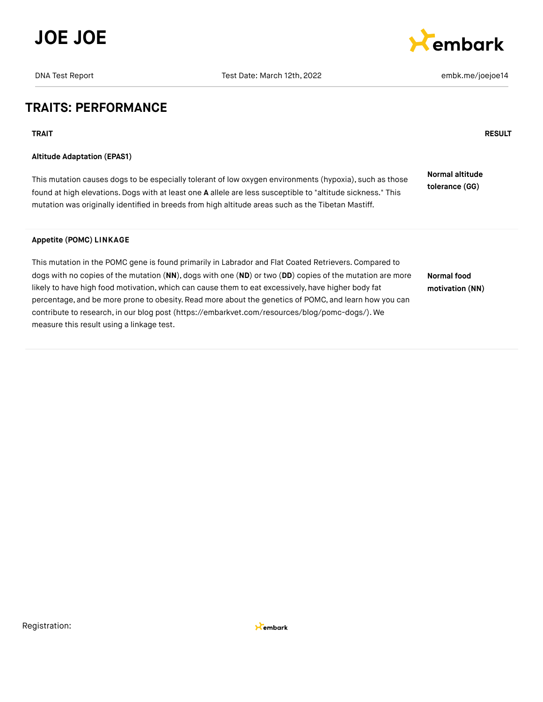



## **TRAITS: PERFORMANCE**

**TRAIT RESULT**

### **Altitude Adaptation (EPAS1)**

This mutation causes dogs to be especially tolerant of low oxygen environments (hypoxia), such as those found at high elevations.Dogs with at least one **A** allele are less susceptible to "altitude sickness." This mutation was originally identified in breeds from high altitude areas such as the Tibetan Mastiff. **Normal altitude tolerance (GG)**

## **Appetite (POMC) LINKAGE**

This mutation in the POMC gene is found primarily in Labrador and Flat Coated Retrievers.Compared to dogs with no copies of the mutation (**NN**), dogs with one (**ND**) or two (**DD**) copies of the mutation are more likely to have high food motivation, which can cause them to eat excessively, have higher body fat percentage, and be more prone to obesity. Read more about the genetics of POMC, and learn how you can contribute to research, in our blog post [\(https://embarkvet.com/resources/blog/pomc-dogs/\).](https://embarkvet.com/resources/blog/pomc-dogs/) We measure this result using a linkage test. **Normal food motivation (NN)**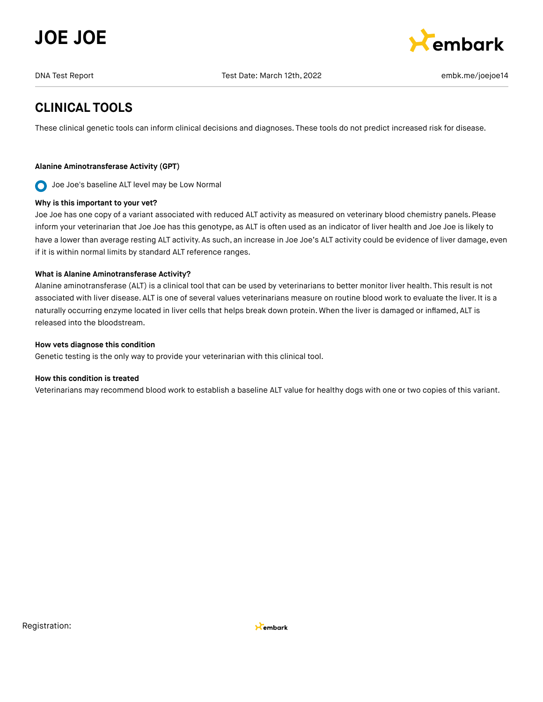



# **CLINICAL TOOLS**

These clinical genetic tools can inform clinical decisions and diagnoses. These tools do not predict increased risk for disease.

## **Alanine Aminotransferase Activity (GPT)**

Joe Joe's baseline ALT level may be Low Normal  $\bullet$ 

### **Why is this important to your vet?**

Joe Joe has one copy of a variant associated with reduced ALT activity as measured on veterinary blood chemistry panels. Please inform your veterinarian that Joe Joe has this genotype, as ALT is often used as an indicator of liver health and Joe Joe is likely to have a lower than average resting ALT activity. As such, an increase in Joe Joe's ALT activity could be evidence of liver damage, even if it is within normal limits by standard ALT reference ranges.

## **What is Alanine Aminotransferase Activity?**

Alanine aminotransferase (ALT) is a clinical tool that can be used by veterinarians to better monitor liver health. This result is not associated with liver disease. ALT is one of several values veterinarians measure on routine blood work to evaluate the liver. It is a naturally occurring enzyme located in liver cells that helps break down protein. When the liver is damaged or inflamed, ALT is released into the bloodstream.

### **How vets diagnose this condition**

Genetic testing is the only way to provide your veterinarian with this clinical tool.

### **How this condition is treated**

Veterinarians may recommend blood work to establish a baseline ALT value for healthy dogs with one or two copies of this variant.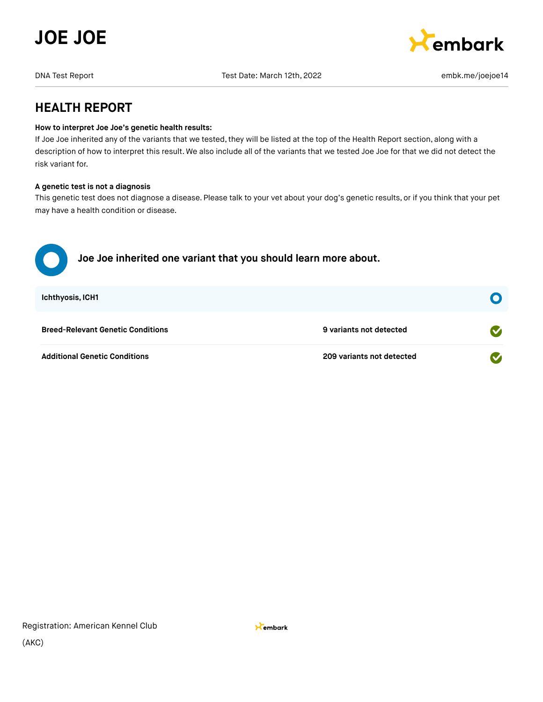



## **HEALTH REPORT**

### **How to interpret Joe Joe's genetic health results:**

If Joe Joe inherited any of the variants that we tested, they will be listed at the top of the Health Report section, along with a description of how to interpret this result. We also include all of the variants that we tested Joe Joe for that we did not detect the risk variant for.

### **A genetic test is not a diagnosis**

This genetic test does not diagnose a disease. Please talk to your vet about your dog's genetic results, or if you think that your pet may have a health condition or disease.

| Joe Joe inherited one variant that you should learn more about. |                           |                  |
|-----------------------------------------------------------------|---------------------------|------------------|
| <b>Ichthyosis, ICH1</b>                                         |                           | $\mathbf \Omega$ |
| <b>Breed-Relevant Genetic Conditions</b>                        | 9 variants not detected   |                  |
| <b>Additional Genetic Conditions</b>                            | 209 variants not detected |                  |

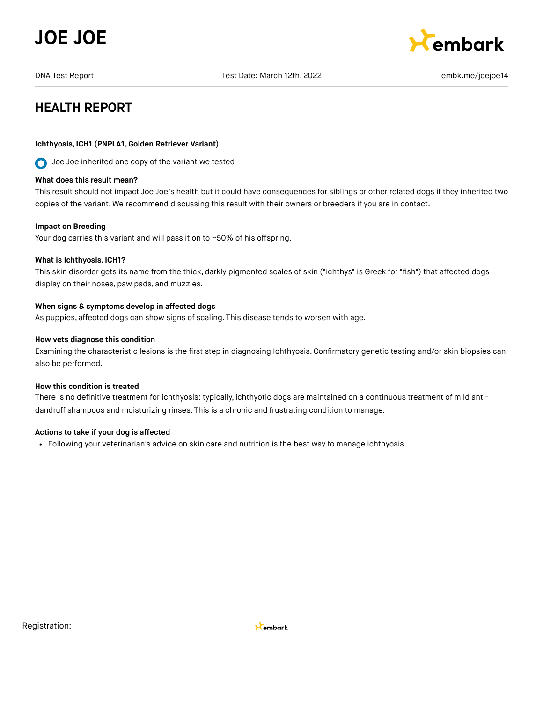



# **HEALTH REPORT**

### **Ichthyosis, ICH1 (PNPLA1,Golden Retriever Variant)**

**O** Joe Joe inherited one copy of the variant we tested

#### **What does this result mean?**

This result should not impact Joe Joe's health but it could have consequences for siblings or other related dogs if they inherited two copies of the variant. We recommend discussing this result with their owners or breeders if you are in contact.

#### **Impact on Breeding**

Your dog carries this variant and will pass it on to ~50% of his offspring.

#### **What is Ichthyosis, ICH1?**

This skin disorder gets its name from the thick, darkly pigmented scales of skin ("ichthys" is Greek for "fish") that affected dogs display on their noses, paw pads, and muzzles.

#### **When signs & symptoms develop in affected dogs**

As puppies, affected dogs can show signs of scaling. This disease tends to worsen with age.

#### **How vets diagnose this condition**

Examining the characteristic lesions is the first step in diagnosing Ichthyosis. Confirmatory genetic testing and/or skin biopsies can also be performed.

#### **How this condition is treated**

There is no definitive treatment for ichthyosis: typically, ichthyotic dogs are maintained on a continuous treatment of mild antidandruff shampoos and moisturizing rinses. This is a chronic and frustrating condition to manage.

#### **Actions to take if your dog is affected**

Following your veterinarian's advice on skin care and nutrition is the best way to manage ichthyosis.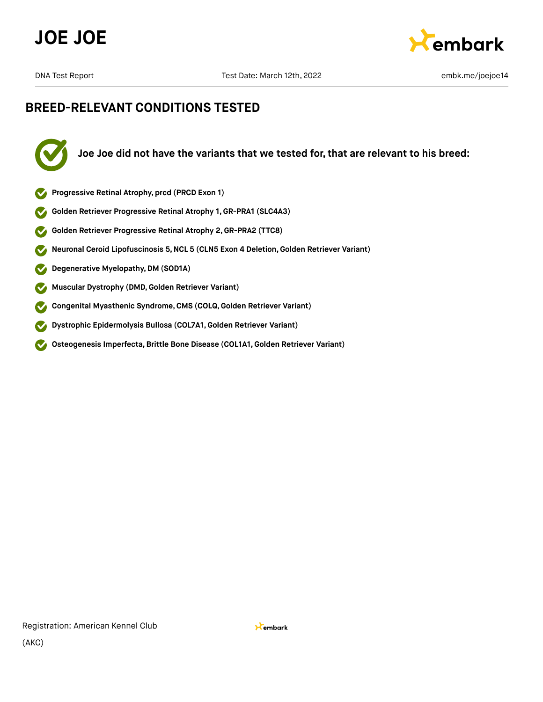



# **BREED-RELEVANT CONDITIONS TESTED**



**Joe Joe did not have the variants that we tested for, that are relevant to his breed:**

- **Progressive Retinal Atrophy, prcd (PRCD Exon 1)**
- **Golden Retriever Progressive Retinal Atrophy 1, GR-PRA1 (SLC4A3)**
- **Golden Retriever Progressive Retinal Atrophy 2,GR-PRA2 (TTC8)**  $\blacktriangledown$
- **Neuronal Ceroid Lipofuscinosis 5,NCL 5 (CLN5 Exon 4 Deletion,Golden Retriever Variant)**  $\blacktriangledown$
- **Degenerative Myelopathy,DM (SOD1A)**  $\blacktriangledown$
- **Muscular Dystrophy (DMD,Golden Retriever Variant)**  $\blacktriangledown$
- **Congenital Myasthenic Syndrome,CMS (COLQ, Golden Retriever Variant)**  $\blacktriangledown$
- **Dystrophic Epidermolysis Bullosa (COL7A1,Golden Retriever Variant)**  $\boldsymbol{\mathcal{S}}$
- **Osteogenesis Imperfecta,Brittle Bone Disease (COL1A1,Golden Retriever Variant)**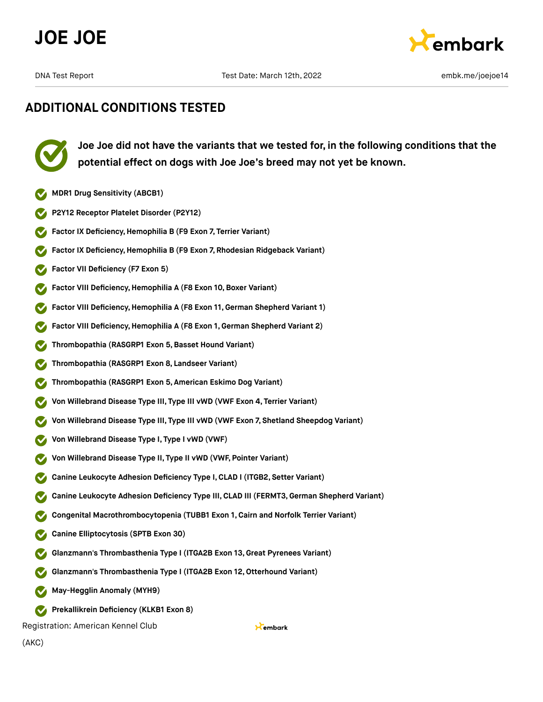



**Joe Joe did not have the variants that we tested for, in the following conditions that the potential effect on dogs with Joe Joe's breed may not yet be known.**

- **MDR1 Drug Sensitivity (ABCB1)**
- **P2Y12 Receptor Platelet Disorder (P2Y12)**
- **Factor IX Deficiency, Hemophilia B (F9 Exon 7, Terrier Variant)**
- **Factor IX Deficiency,Hemophilia B (F9 Exon 7, Rhodesian Ridgeback Variant)**
- **Factor VII Deficiency (F7 Exon 5)**
- **Factor VIII Deficiency, Hemophilia A (F8 Exon 10, Boxer Variant)**
- **Factor VIII Deficiency,Hemophilia A (F8 Exon 11,German Shepherd Variant 1)**
- **Factor VIII Deficiency,Hemophilia A (F8 Exon 1, German Shepherd Variant 2)**
- **Thrombopathia (RASGRP1 Exon 5,Basset Hound Variant)**
- **Thrombopathia (RASGRP1 Exon 8, Landseer Variant)**
- **Thrombopathia (RASGRP1 Exon 5, American Eskimo Dog Variant)**
- **Von Willebrand Disease Type III, Type III vWD (VWF Exon 4, Terrier Variant)**
- **Von Willebrand Disease Type III, Type III vWD (VWF Exon 7, Shetland Sheepdog Variant)**
- **Von Willebrand Disease Type I, Type I vWD (VWF)**
- **Von Willebrand Disease Type II, Type II vWD (VWF, Pointer Variant)**
- **Canine Leukocyte Adhesion Deficiency Type I,CLAD I (ITGB2, Setter Variant)**
- **Canine Leukocyte Adhesion Deficiency Type III, CLAD III (FERMT3,German Shepherd Variant)**

Kembark

- **Congenital Macrothrombocytopenia (TUBB1 Exon 1, Cairn and Norfolk Terrier Variant)**
- **Canine Elliptocytosis (SPTB Exon 30)**
- **Glanzmann's Thrombasthenia Type I (ITGA2B Exon 13,Great Pyrenees Variant)**
- **Glanzmann's Thrombasthenia Type I (ITGA2B Exon 12,Otterhound Variant)**
- **May-Hegglin Anomaly (MYH9)**
- **Prekallikrein Deficiency (KLKB1 Exon 8)**

Registration: American Kennel Club

(AKC)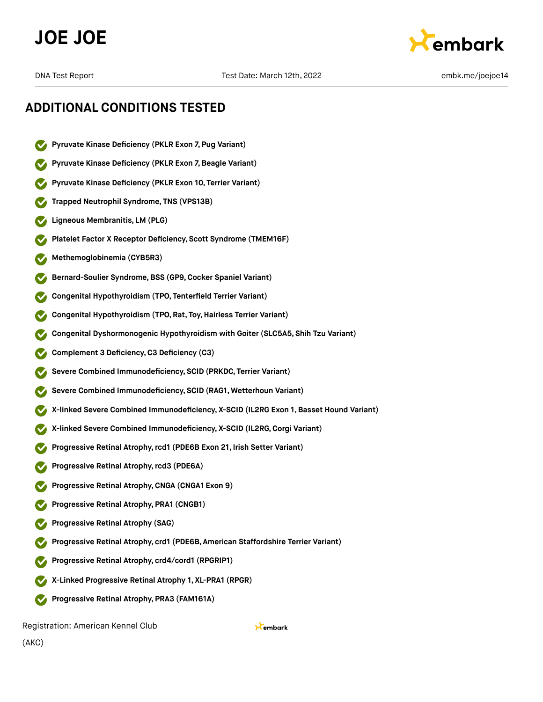



- **Pyruvate Kinase Deficiency (PKLR Exon 7, Pug Variant)**
- **Pyruvate Kinase Deficiency (PKLR Exon 7,Beagle Variant)**
- **Pyruvate Kinase Deficiency (PKLR Exon 10, Terrier Variant)**
- **Trapped Neutrophil Syndrome, TNS (VPS13B)**
- **Ligneous Membranitis, LM (PLG)**
- **Platelet Factor X Receptor Deficiency, Scott Syndrome (TMEM16F)**
- **Methemoglobinemia (CYB5R3)**
- **Bernard-Soulier Syndrome,BSS (GP9,Cocker Spaniel Variant)**
- **Congenital Hypothyroidism (TPO, Tenterfield Terrier Variant)**
- **Congenital Hypothyroidism (TPO, Rat, Toy,Hairless Terrier Variant)**
- **Congenital Dyshormonogenic Hypothyroidism with Goiter (SLC5A5, Shih Tzu Variant)**
- **Complement 3 Deficiency,C3 Deficiency (C3)**
- **Severe Combined Immunodeficiency, SCID (PRKDC, Terrier Variant)**
- **Severe Combined Immunodeficiency, SCID (RAG1, Wetterhoun Variant)**
- **X-linked Severe Combined Immunodeficiency, X-SCID (IL2RG Exon 1, Basset Hound Variant)**
- **X-linked Severe Combined Immunodeficiency, X-SCID (IL2RG,Corgi Variant)**
- **Progressive Retinal Atrophy,rcd1 (PDE6B Exon 21, Irish Setter Variant)**
- **Progressive Retinal Atrophy,rcd3 (PDE6A)**
- **Progressive Retinal Atrophy,CNGA (CNGA1 Exon 9)**
- **Progressive Retinal Atrophy, PRA1 (CNGB1)**
- **Progressive Retinal Atrophy (SAG)**
- **Progressive Retinal Atrophy, crd1 (PDE6B, American Staffordshire Terrier Variant)**
- **Progressive Retinal Atrophy, crd4/cord1 (RPGRIP1)**
- **X-Linked Progressive Retinal Atrophy 1, XL-PRA1 (RPGR)**
- **Progressive Retinal Atrophy, PRA3 (FAM161A)**

Registration: American Kennel Club

Kembark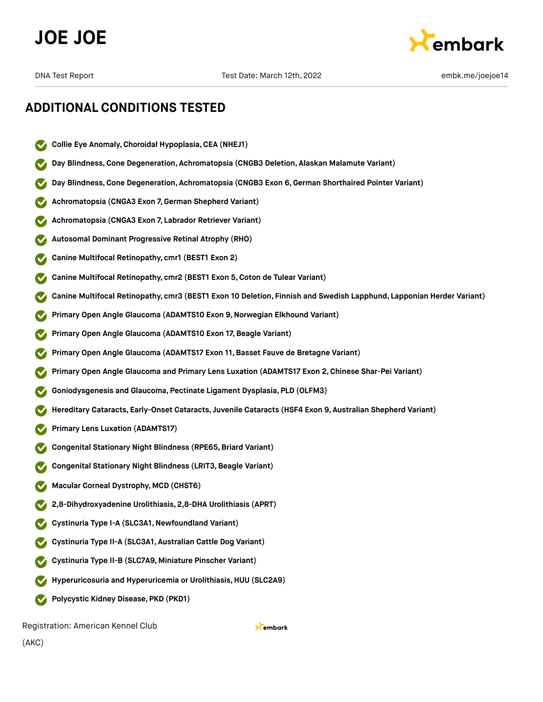



## **ADDITIONAL CONDITIONS TESTED**

- **Collie Eye Anomaly,Choroidal Hypoplasia,CEA (NHEJ1)**
- **Day Blindness,Cone Degeneration, Achromatopsia (CNGB3 Deletion, Alaskan Malamute Variant)**
- **Day Blindness,Cone Degeneration, Achromatopsia (CNGB3 Exon 6,German Shorthaired Pointer Variant)**
- **Achromatopsia (CNGA3 Exon 7,German Shepherd Variant)**
- **Achromatopsia (CNGA3 Exon 7, Labrador Retriever Variant)**
- **Autosomal Dominant Progressive Retinal Atrophy (RHO)**
- **Canine Multifocal Retinopathy, cmr1 (BEST1 Exon 2)**
- **Canine Multifocal Retinopathy, cmr2 (BEST1 Exon 5,Coton de Tulear Variant)**
- **Canine Multifocal Retinopathy, cmr3 (BEST1 Exon 10 Deletion, Finnish and Swedish Lapphund, Lapponian Herder Variant)**
- **Primary Open Angle Glaucoma (ADAMTS10 Exon 9,Norwegian Elkhound Variant)**
- **Primary Open Angle Glaucoma (ADAMTS10 Exon 17, Beagle Variant)**
- **Primary Open Angle Glaucoma (ADAMTS17 Exon 11,Basset Fauve de Bretagne Variant)**
- **Primary Open Angle Glaucoma and Primary Lens Luxation (ADAMTS17 Exon 2,Chinese Shar-Pei Variant)**
- **Goniodysgenesis and Glaucoma, Pectinate Ligament Dysplasia, PLD (OLFM3)**
- **Hereditary Cataracts, Early-Onset Cataracts, Juvenile Cataracts (HSF4 Exon 9, Australian Shepherd Variant)**
- **Primary Lens Luxation (ADAMTS17)**
- **Congenital Stationary Night Blindness (RPE65,Briard Variant)**
- **Congenital Stationary Night Blindness (LRIT3,Beagle Variant)**
- **Macular Corneal Dystrophy, MCD (CHST6)**
- **2,8-Dihydroxyadenine Urolithiasis, 2,8-DHA Urolithiasis (APRT)**
- **Cystinuria Type I-A (SLC3A1,Newfoundland Variant)**
- **Cystinuria Type II-A (SLC3A1, Australian Cattle Dog Variant)**
- **Cystinuria Type II-B (SLC7A9, Miniature Pinscher Variant)**
- **Hyperuricosuria and Hyperuricemia or Urolithiasis, HUU (SLC2A9)**
- **Polycystic Kidney Disease, PKD (PKD1)**

Registration: American Kennel Club

Kembark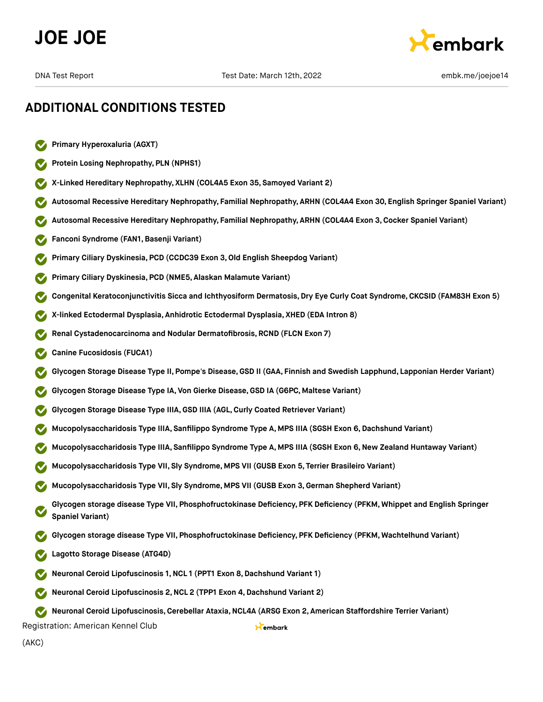



- **Primary Hyperoxaluria (AGXT)**
- **Protein Losing Nephropathy, PLN (NPHS1)**
- **X-Linked Hereditary Nephropathy, XLHN (COL4A5 Exon 35, Samoyed Variant 2)**
- **Autosomal Recessive Hereditary Nephropathy, Familial Nephropathy, ARHN (COL4A4 Exon 30, English Springer Spaniel Variant)**
- **Autosomal Recessive Hereditary Nephropathy, Familial Nephropathy, ARHN (COL4A4 Exon 3,Cocker Spaniel Variant)**
- **Fanconi Syndrome (FAN1,Basenji Variant)**
- **Primary Ciliary Dyskinesia, PCD (CCDC39 Exon 3,Old English Sheepdog Variant)**
- **Primary Ciliary Dyskinesia, PCD (NME5, Alaskan Malamute Variant)**
- **Congenital Keratoconjunctivitis Sicca and Ichthyosiform Dermatosis, Dry Eye Curly Coat Syndrome, CKCSID (FAM83H Exon 5)**
- **X-linked Ectodermal Dysplasia, Anhidrotic Ectodermal Dysplasia, XHED (EDA Intron 8)**
- **Renal Cystadenocarcinoma and Nodular Dermatofibrosis, RCND (FLCN Exon 7)**
- **Canine Fucosidosis (FUCA1)**
- **Glycogen Storage Disease Type II, Pompe's Disease,GSD II (GAA, Finnish and Swedish Lapphund, Lapponian Herder Variant)**
- **Glycogen Storage Disease Type IA, Von Gierke Disease,GSD IA (G6PC, Maltese Variant)**
- **Glycogen Storage Disease Type IIIA,GSD IIIA (AGL,Curly Coated Retriever Variant)**
- **Mucopolysaccharidosis Type IIIA, Sanfilippo Syndrome Type A, MPS IIIA (SGSH Exon 6,Dachshund Variant)**
- **Mucopolysaccharidosis Type IIIA, Sanfilippo Syndrome Type A, MPS IIIA (SGSH Exon 6,New Zealand Huntaway Variant)**
- **Mucopolysaccharidosis Type VII, Sly Syndrome, MPS VII (GUSB Exon 5, Terrier Brasileiro Variant)**
- **Mucopolysaccharidosis Type VII, Sly Syndrome, MPS VII (GUSB Exon 3,German Shepherd Variant)**
- **Glycogen storage disease Type VII, Phosphofructokinase Deficiency, PFK Deficiency (PFKM, Whippet and English Springer Spaniel Variant)**
- **Glycogen storage disease Type VII, Phosphofructokinase Deficiency, PFK Deficiency (PFKM, Wachtelhund Variant)**
- **Lagotto Storage Disease (ATG4D)**
- **Neuronal Ceroid Lipofuscinosis 1,NCL 1 (PPT1 Exon 8,Dachshund Variant 1)**
- **Neuronal Ceroid Lipofuscinosis 2,NCL 2 (TPP1 Exon 4,Dachshund Variant 2)**

**Neuronal Ceroid Lipofuscinosis,Cerebellar Ataxia,NCL4A (ARSG Exon 2, American Staffordshire Terrier Variant)**

Kembark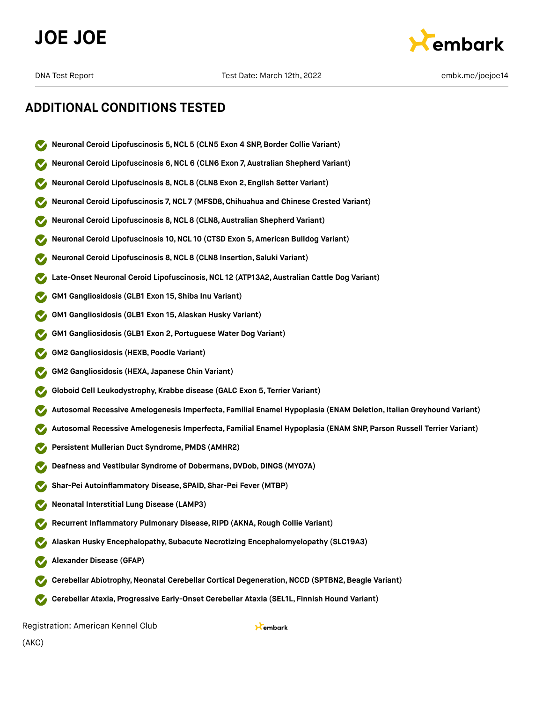



- **Neuronal Ceroid Lipofuscinosis 5,NCL 5 (CLN5 Exon 4 SNP, Border Collie Variant)**
- **Neuronal Ceroid Lipofuscinosis 6,NCL 6 (CLN6 Exon 7, Australian Shepherd Variant)**
- **Neuronal Ceroid Lipofuscinosis 8,NCL 8 (CLN8 Exon 2, English Setter Variant)**
- **Neuronal Ceroid Lipofuscinosis 7,NCL 7 (MFSD8,Chihuahua and Chinese Crested Variant)**
- **Neuronal Ceroid Lipofuscinosis 8,NCL 8 (CLN8, Australian Shepherd Variant)**
- **Neuronal Ceroid Lipofuscinosis 10,NCL 10 (CTSD Exon 5, American Bulldog Variant)**
- **Neuronal Ceroid Lipofuscinosis 8,NCL 8 (CLN8 Insertion, Saluki Variant)**
- **Late-Onset Neuronal Ceroid Lipofuscinosis,NCL 12 (ATP13A2, Australian Cattle Dog Variant)**
- **GM1 Gangliosidosis (GLB1 Exon 15, Shiba Inu Variant)**
- **GM1 Gangliosidosis (GLB1 Exon 15, Alaskan Husky Variant)**
- **GM1 Gangliosidosis (GLB1 Exon 2, Portuguese Water Dog Variant)**
- **GM2 Gangliosidosis (HEXB, Poodle Variant)**
- **GM2 Gangliosidosis (HEXA, Japanese Chin Variant)**
- **Globoid Cell Leukodystrophy, Krabbe disease (GALC Exon 5, Terrier Variant)**
- **Autosomal Recessive Amelogenesis Imperfecta, Familial Enamel Hypoplasia (ENAM Deletion, Italian Greyhound Variant)**
- **Autosomal Recessive Amelogenesis Imperfecta, Familial Enamel Hypoplasia (ENAM SNP, Parson Russell Terrier Variant)**
- **Persistent Mullerian Duct Syndrome, PMDS (AMHR2)**
- **Deafness and Vestibular Syndrome of Dobermans, DVDob, DINGS (MYO7A)**
- **Shar-Pei Autoinflammatory Disease, SPAID, Shar-Pei Fever (MTBP)**
- **Neonatal Interstitial Lung Disease (LAMP3)**
- **Recurrent Inflammatory Pulmonary Disease, RIPD (AKNA, Rough Collie Variant)**
- **Alaskan Husky Encephalopathy, Subacute Necrotizing Encephalomyelopathy (SLC19A3)**
- **Alexander Disease (GFAP)**
- **Cerebellar Abiotrophy,Neonatal Cerebellar Cortical Degeneration,NCCD (SPTBN2,Beagle Variant)**
- **Cerebellar Ataxia, Progressive Early-Onset Cerebellar Ataxia (SEL1L, Finnish Hound Variant)**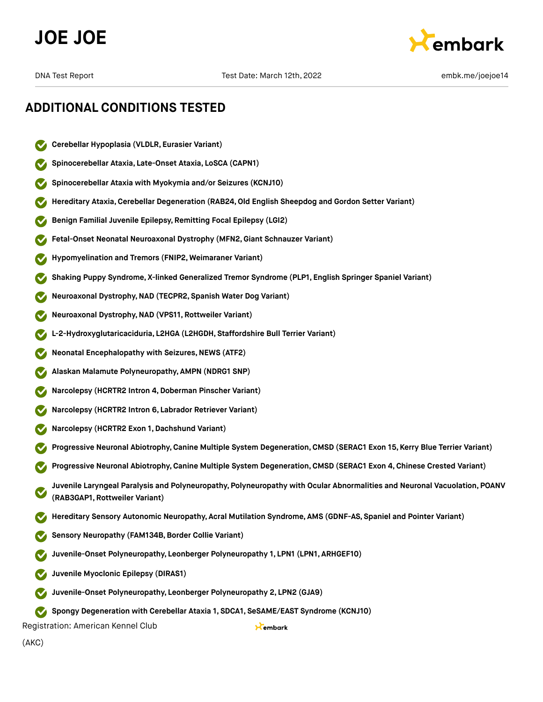



# **ADDITIONAL CONDITIONS TESTED**

- **Cerebellar Hypoplasia (VLDLR, Eurasier Variant)**
- **Spinocerebellar Ataxia, Late-Onset Ataxia, LoSCA (CAPN1)**
- **Spinocerebellar Ataxia with Myokymia and/or Seizures (KCNJ10)**
- **Hereditary Ataxia,Cerebellar Degeneration (RAB24,Old English Sheepdog and Gordon Setter Variant)**
- **Benign Familial Juvenile Epilepsy, Remitting Focal Epilepsy (LGI2)**
- **Fetal-Onset Neonatal Neuroaxonal Dystrophy (MFN2,Giant Schnauzer Variant)**
- **Hypomyelination and Tremors (FNIP2, Weimaraner Variant)**
- **Shaking Puppy Syndrome, X-linked Generalized Tremor Syndrome (PLP1, English Springer Spaniel Variant)**
- **Neuroaxonal Dystrophy,NAD (TECPR2, Spanish Water Dog Variant)**
- **Neuroaxonal Dystrophy,NAD (VPS11, Rottweiler Variant)**
- **L-2-Hydroxyglutaricaciduria, L2HGA (L2HGDH, Staffordshire Bull Terrier Variant)**
- **Neonatal Encephalopathy with Seizures, NEWS (ATF2)**
- **Alaskan Malamute Polyneuropathy, AMPN (NDRG1 SNP)**
- **Narcolepsy (HCRTR2 Intron 4,Doberman Pinscher Variant)**
- **Narcolepsy (HCRTR2 Intron 6, Labrador Retriever Variant)**
- **Narcolepsy (HCRTR2 Exon 1,Dachshund Variant)**
- **Progressive Neuronal Abiotrophy,Canine Multiple System Degeneration,CMSD (SERAC1 Exon 15, Kerry Blue Terrier Variant)**
- **Progressive Neuronal Abiotrophy,Canine Multiple System Degeneration,CMSD (SERAC1 Exon 4, Chinese Crested Variant)**
- **Juvenile Laryngeal Paralysis and Polyneuropathy, Polyneuropathy with Ocular Abnormalities and Neuronal Vacuolation, POANV (RAB3GAP1, Rottweiler Variant)**

Kembark

- **Hereditary Sensory Autonomic Neuropathy, Acral Mutilation Syndrome, AMS (GDNF-AS, Spaniel and Pointer Variant)**
- **Sensory Neuropathy (FAM134B,Border Collie Variant)**
- **Juvenile-Onset Polyneuropathy, Leonberger Polyneuropathy 1, LPN1 (LPN1, ARHGEF10)**
- **Juvenile Myoclonic Epilepsy (DIRAS1)**
- **Juvenile-Onset Polyneuropathy, Leonberger Polyneuropathy 2, LPN2 (GJA9)**
- **Spongy Degeneration with Cerebellar Ataxia 1, SDCA1, SeSAME/EAST Syndrome (KCNJ10)**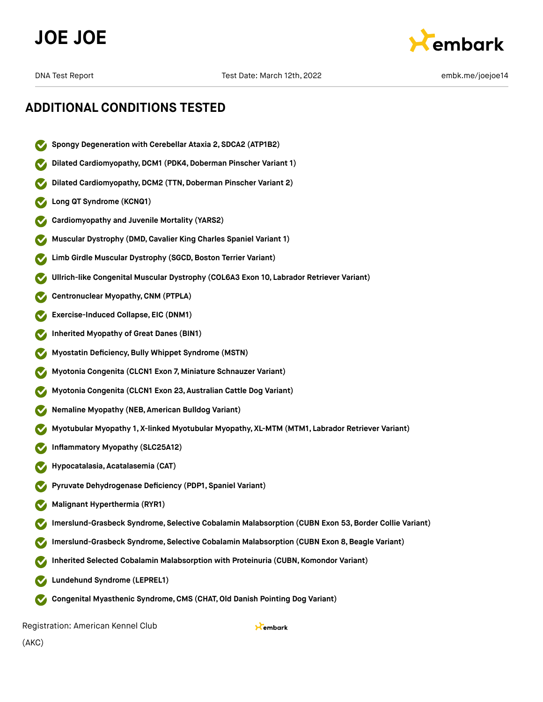



# **ADDITIONAL CONDITIONS TESTED**

- **Spongy Degeneration with Cerebellar Ataxia 2, SDCA2 (ATP1B2)**
- **Dilated Cardiomyopathy,DCM1 (PDK4,Doberman Pinscher Variant 1)**
- **Dilated Cardiomyopathy, DCM2 (TTN, Doberman Pinscher Variant 2)**
- **Long QT Syndrome (KCNQ1)**
- **Cardiomyopathy and Juvenile Mortality (YARS2)**
- **Muscular Dystrophy (DMD,Cavalier King Charles Spaniel Variant 1)**
- **Limb Girdle Muscular Dystrophy (SGCD,Boston Terrier Variant)**
- **Ullrich-like Congenital Muscular Dystrophy (COL6A3 Exon 10, Labrador Retriever Variant)**
- **Centronuclear Myopathy,CNM (PTPLA)**
- **Exercise-Induced Collapse, EIC (DNM1)**
- **Inherited Myopathy of Great Danes (BIN1)**
- **Myostatin Deficiency,Bully Whippet Syndrome (MSTN)**
- **Myotonia Congenita (CLCN1 Exon 7, Miniature Schnauzer Variant)**
- **Myotonia Congenita (CLCN1 Exon 23, Australian Cattle Dog Variant)**
- **Nemaline Myopathy (NEB, American Bulldog Variant)**
- **Myotubular Myopathy 1, X-linked Myotubular Myopathy, XL-MTM (MTM1, Labrador Retriever Variant)**
- **Inflammatory Myopathy (SLC25A12)**
- **Hypocatalasia, Acatalasemia (CAT)**
- **Pyruvate Dehydrogenase Deficiency (PDP1, Spaniel Variant)**
- **Malignant Hyperthermia (RYR1)**
- **Imerslund-Grasbeck Syndrome, Selective Cobalamin Malabsorption (CUBN Exon 53,Border Collie Variant)**
- **Imerslund-Grasbeck Syndrome, Selective Cobalamin Malabsorption (CUBN Exon 8,Beagle Variant)**
- **Inherited Selected Cobalamin Malabsorption with Proteinuria (CUBN, Komondor Variant)**
- **Lundehund Syndrome (LEPREL1)**
- **Congenital Myasthenic Syndrome,CMS (CHAT,Old Danish Pointing Dog Variant)**  $\sim$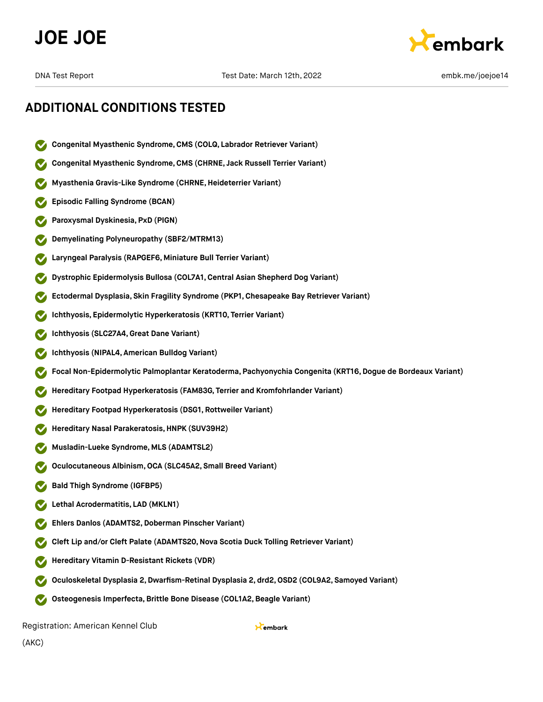



- **Congenital Myasthenic Syndrome,CMS (COLQ, Labrador Retriever Variant)**
- **Congenital Myasthenic Syndrome,CMS (CHRNE, Jack Russell Terrier Variant)**
- **Myasthenia Gravis-Like Syndrome (CHRNE,Heideterrier Variant)**
- **Episodic Falling Syndrome (BCAN)**
- **Paroxysmal Dyskinesia, PxD (PIGN)**
- **Demyelinating Polyneuropathy (SBF2/MTRM13)**
- **Laryngeal Paralysis (RAPGEF6, Miniature Bull Terrier Variant)**
- **Dystrophic Epidermolysis Bullosa (COL7A1,Central Asian Shepherd Dog Variant)**
- **Ectodermal Dysplasia, Skin Fragility Syndrome (PKP1, Chesapeake Bay Retriever Variant)**
- **Ichthyosis, Epidermolytic Hyperkeratosis (KRT10, Terrier Variant)**
- **Ichthyosis (SLC27A4,Great Dane Variant)**
- **Ichthyosis (NIPAL4, American Bulldog Variant)**
- **Focal Non-Epidermolytic Palmoplantar Keratoderma, Pachyonychia Congenita (KRT16,Dogue de Bordeaux Variant)**
- **Hereditary Footpad Hyperkeratosis (FAM83G, Terrier and Kromfohrlander Variant)**
- **Hereditary Footpad Hyperkeratosis (DSG1, Rottweiler Variant)**
- **Hereditary Nasal Parakeratosis,HNPK (SUV39H2)**
- **Musladin-Lueke Syndrome, MLS (ADAMTSL2)**
- **Oculocutaneous Albinism,OCA (SLC45A2, Small Breed Variant)**
- **Bald Thigh Syndrome (IGFBP5)**
- **Lethal Acrodermatitis, LAD (MKLN1)**
- **Ehlers Danlos (ADAMTS2,Doberman Pinscher Variant)**
- **Cleft Lip and/or Cleft Palate (ADAMTS20,Nova Scotia Duck Tolling Retriever Variant)**
- **Hereditary Vitamin D-Resistant Rickets (VDR)**
- **Oculoskeletal Dysplasia 2,Dwarfism-Retinal Dysplasia 2, drd2,OSD2 (COL9A2, Samoyed Variant)**
- **Osteogenesis Imperfecta,Brittle Bone Disease (COL1A2,Beagle Variant)**  $\sim$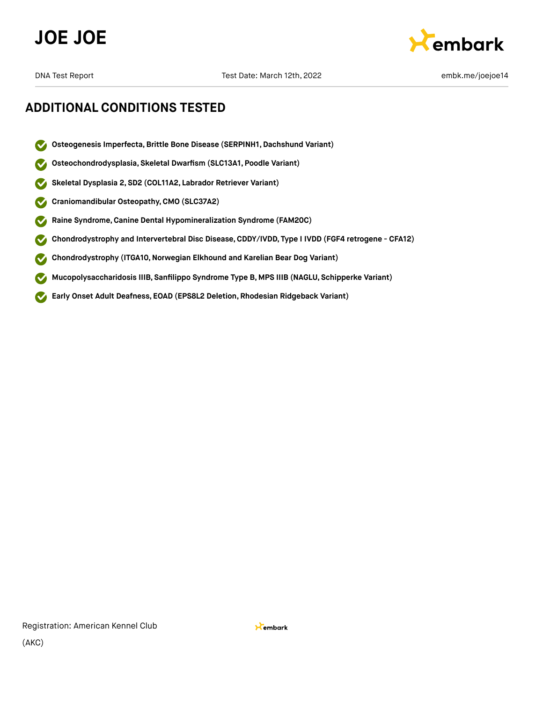



- **Osteogenesis Imperfecta,Brittle Bone Disease (SERPINH1, Dachshund Variant)** M
- **Osteochondrodysplasia, Skeletal Dwarfism (SLC13A1, Poodle Variant)**  $\checkmark$
- **Skeletal Dysplasia 2, SD2 (COL11A2, Labrador Retriever Variant)**  $\checkmark$
- **Craniomandibular Osteopathy,CMO (SLC37A2)**  $\checkmark$
- **Raine Syndrome,Canine Dental Hypomineralization Syndrome (FAM20C)**  $\blacktriangledown$
- **Chondrodystrophy and Intervertebral Disc Disease,CDDY/IVDD, Type I IVDD (FGF4 retrogene CFA12)**  $\checkmark$
- **Chondrodystrophy (ITGA10,Norwegian Elkhound and Karelian Bear Dog Variant)**
- **Mucopolysaccharidosis IIIB, Sanfilippo Syndrome Type B, MPS IIIB (NAGLU, Schipperke Variant)**  $\blacktriangledown$
- **Early Onset Adult Deafness, EOAD (EPS8L2 Deletion, Rhodesian Ridgeback Variant)**  $\blacktriangledown$